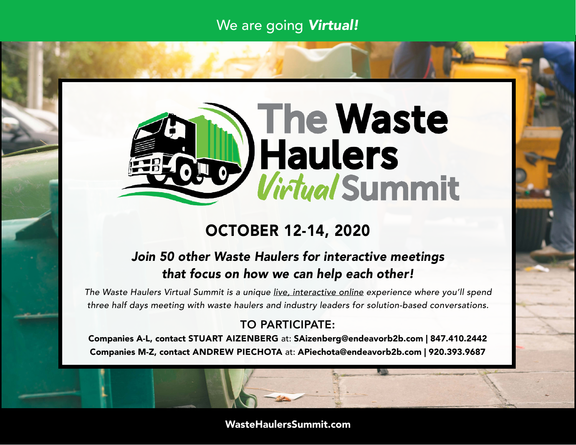# We are going *Virtual!*



# OCTOBER 12-14, 2020

## *Join 50 other Waste Haulers for interactive meetings that focus on how we can help each other!*

*The Waste Haulers Virtual Summit is a unique live, interactive online experience where you'll spend three half days meeting with waste haulers and industry leaders for solution-based conversations.*

## TO PARTICIPATE:

Companies A-L, contact STUART AIZENBERG at: SAizenberg@endeavorb2b.com | 847.410.2442 Companies M-Z, contact ANDREW PIECHOTA at: APiechota@endeavorb2b.com | 920.393.9687

### WasteHaulersSummit.com